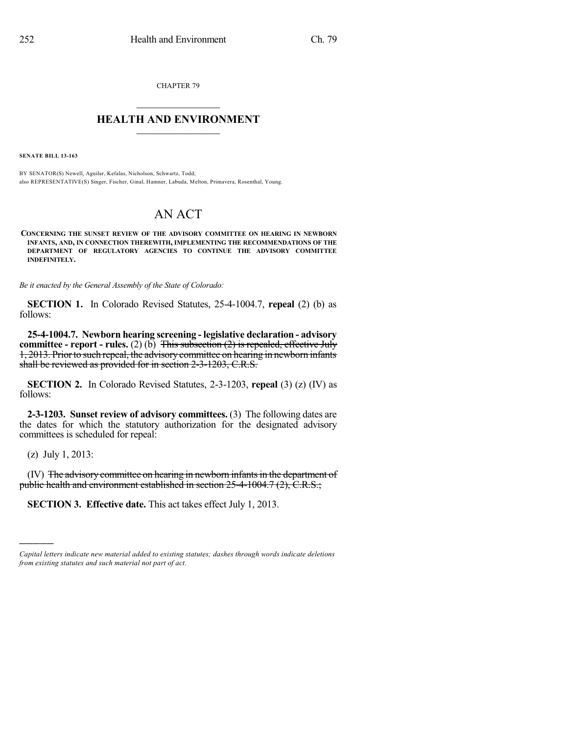CHAPTER 79

## $\mathcal{L}_\text{max}$  . The set of the set of the set of the set of the set of the set of the set of the set of the set of the set of the set of the set of the set of the set of the set of the set of the set of the set of the set **HEALTH AND ENVIRONMENT**  $\_$

**SENATE BILL 13-163**

BY SENATOR(S) Newell, Aguilar, Kefalas, Nicholson, Schwartz, Todd; also REPRESENTATIVE(S) Singer, Fischer, Ginal, Hamner, Labuda, Melton, Primavera, Rosenthal, Young.

## AN ACT

**CONCERNING THE SUNSET REVIEW OF THE ADVISORY COMMITTEE ON HEARING IN NEWBORN INFANTS, AND, IN CONNECTION THEREWITH, IMPLEMENTING THE RECOMMENDATIONS OF THE DEPARTMENT OF REGULATORY AGENCIES TO CONTINUE THE ADVISORY COMMITTEE INDEFINITELY.**

*Be it enacted by the General Assembly of the State of Colorado:*

**SECTION 1.** In Colorado Revised Statutes, 25-4-1004.7, **repeal** (2) (b) as follows:

**25-4-1004.7. Newborn hearing screening - legislative declaration - advisory committee - report - rules.** (2) (b) This subsection (2) is repealed, effective July 1, 2013. Priorto such repeal, the advisory committee on hearing in newborn infants shall be reviewed as provided for in section 2-3-1203, C.R.S.

**SECTION 2.** In Colorado Revised Statutes, 2-3-1203, **repeal** (3) (z) (IV) as follows:

**2-3-1203. Sunset review of advisory committees.** (3) The following dates are the dates for which the statutory authorization for the designated advisory committees is scheduled for repeal:

(z) July 1, 2013:

)))))

(IV) The advisory committee on hearing in newborn infants in the department of public health and environment established in section 25-4-1004.7 (2), C.R.S.;

**SECTION 3. Effective date.** This act takes effect July 1, 2013.

*Capital letters indicate new material added to existing statutes; dashes through words indicate deletions from existing statutes and such material not part of act.*